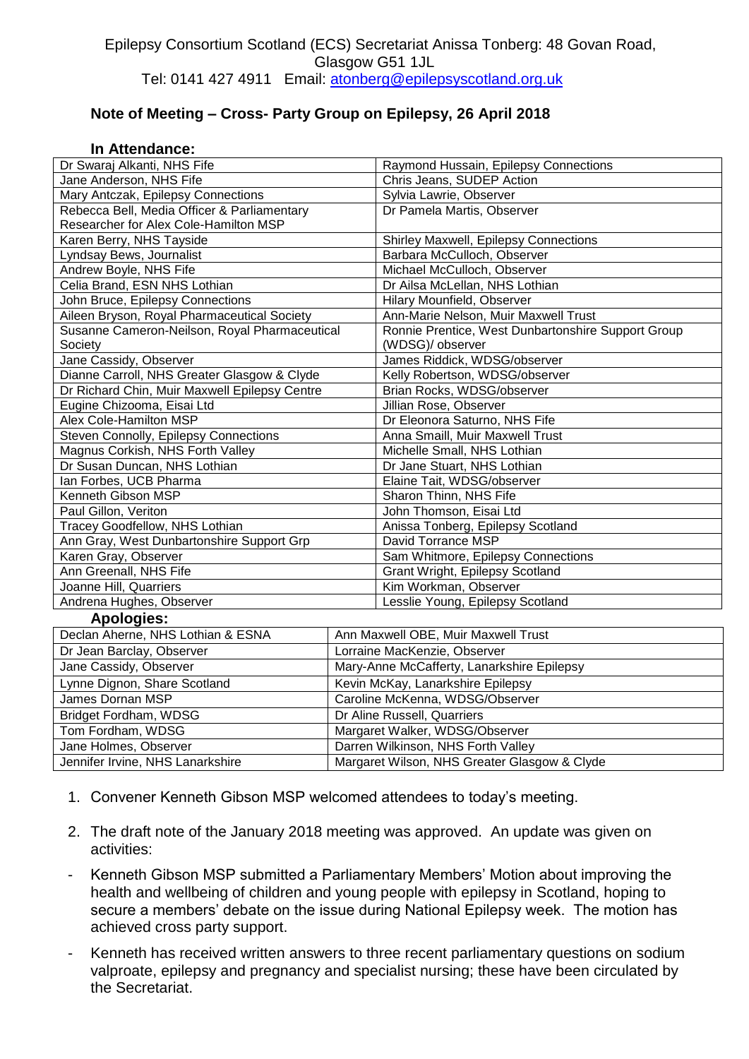## Epilepsy Consortium Scotland (ECS) Secretariat Anissa Tonberg: 48 Govan Road, Glasgow G51 1JL Tel: 0141 427 4911 Email: [atonberg@epilepsyscotland.org.uk](mailto:atonberg@epilepsyscotland.org.uk)

## **Note of Meeting – Cross- Party Group on Epilepsy, 26 April 2018**

## **In Attendance:**

| Dr Swaraj Alkanti, NHS Fife                   |                                              | Raymond Hussain, Epilepsy Connections              |  |
|-----------------------------------------------|----------------------------------------------|----------------------------------------------------|--|
| Jane Anderson, NHS Fife                       |                                              | Chris Jeans, SUDEP Action                          |  |
| Mary Antczak, Epilepsy Connections            |                                              | Sylvia Lawrie, Observer                            |  |
| Rebecca Bell, Media Officer & Parliamentary   |                                              | Dr Pamela Martis, Observer                         |  |
| Researcher for Alex Cole-Hamilton MSP         |                                              |                                                    |  |
| Karen Berry, NHS Tayside                      |                                              | Shirley Maxwell, Epilepsy Connections              |  |
| Lyndsay Bews, Journalist                      |                                              | Barbara McCulloch, Observer                        |  |
| Andrew Boyle, NHS Fife                        |                                              | Michael McCulloch, Observer                        |  |
| Celia Brand, ESN NHS Lothian                  |                                              | Dr Ailsa McLellan, NHS Lothian                     |  |
| John Bruce, Epilepsy Connections              |                                              | Hilary Mounfield, Observer                         |  |
| Aileen Bryson, Royal Pharmaceutical Society   |                                              | Ann-Marie Nelson, Muir Maxwell Trust               |  |
| Susanne Cameron-Neilson, Royal Pharmaceutical |                                              | Ronnie Prentice, West Dunbartonshire Support Group |  |
| Society                                       |                                              | (WDSG)/ observer                                   |  |
| Jane Cassidy, Observer                        |                                              | James Riddick, WDSG/observer                       |  |
| Dianne Carroll, NHS Greater Glasgow & Clyde   |                                              | Kelly Robertson, WDSG/observer                     |  |
| Dr Richard Chin, Muir Maxwell Epilepsy Centre |                                              | Brian Rocks, WDSG/observer                         |  |
| Eugine Chizooma, Eisai Ltd                    |                                              | Jillian Rose, Observer                             |  |
| Alex Cole-Hamilton MSP                        |                                              | Dr Eleonora Saturno, NHS Fife                      |  |
| Steven Connolly, Epilepsy Connections         |                                              | Anna Smaill, Muir Maxwell Trust                    |  |
| Magnus Corkish, NHS Forth Valley              |                                              | Michelle Small, NHS Lothian                        |  |
| Dr Susan Duncan, NHS Lothian                  |                                              | Dr Jane Stuart, NHS Lothian                        |  |
| Ian Forbes, UCB Pharma                        |                                              | Elaine Tait, WDSG/observer                         |  |
| Kenneth Gibson MSP                            |                                              | Sharon Thinn, NHS Fife                             |  |
| Paul Gillon, Veriton                          |                                              | John Thomson, Eisai Ltd                            |  |
| Tracey Goodfellow, NHS Lothian                |                                              | Anissa Tonberg, Epilepsy Scotland                  |  |
| Ann Gray, West Dunbartonshire Support Grp     |                                              | David Torrance MSP                                 |  |
| Karen Gray, Observer                          |                                              | Sam Whitmore, Epilepsy Connections                 |  |
| Ann Greenall, NHS Fife                        |                                              | <b>Grant Wright, Epilepsy Scotland</b>             |  |
| Joanne Hill, Quarriers                        |                                              | Kim Workman, Observer                              |  |
| Andrena Hughes, Observer                      |                                              | Lesslie Young, Epilepsy Scotland                   |  |
| <b>Apologies:</b>                             |                                              |                                                    |  |
| Declan Aherne, NHS Lothian & ESNA             |                                              | Ann Maxwell OBE, Muir Maxwell Trust                |  |
| Dr Jean Barclay, Observer                     |                                              | Lorraine MacKenzie, Observer                       |  |
| Jane Cassidy, Observer                        | Mary-Anne McCafferty, Lanarkshire Epilepsy   |                                                    |  |
| Lynne Dignon, Share Scotland                  | Kevin McKay, Lanarkshire Epilepsy            |                                                    |  |
| James Dornan MSP                              | Caroline McKenna, WDSG/Observer              |                                                    |  |
| Bridget Fordham, WDSG                         |                                              | Dr Aline Russell, Quarriers                        |  |
| Tom Fordham, WDSG                             |                                              | Margaret Walker, WDSG/Observer                     |  |
| Jane Holmes, Observer                         | Darren Wilkinson, NHS Forth Valley           |                                                    |  |
| Jennifer Irvine, NHS Lanarkshire              | Margaret Wilson, NHS Greater Glasgow & Clyde |                                                    |  |

- 1. Convener Kenneth Gibson MSP welcomed attendees to today's meeting.
- 2. The draft note of the January 2018 meeting was approved. An update was given on activities:
- Kenneth Gibson MSP submitted a Parliamentary Members' Motion about improving the health and wellbeing of children and young people with epilepsy in Scotland, hoping to secure a members' debate on the issue during National Epilepsy week. The motion has achieved cross party support.
- Kenneth has received written answers to three recent parliamentary questions on sodium valproate, epilepsy and pregnancy and specialist nursing; these have been circulated by the Secretariat.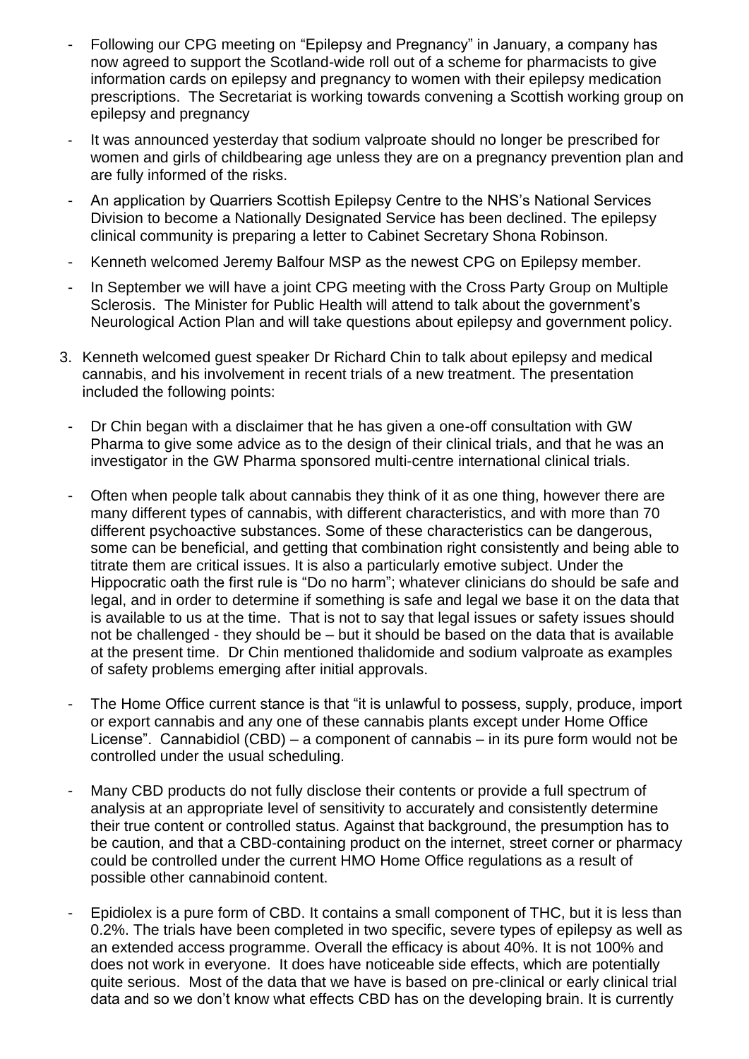- Following our CPG meeting on "Epilepsy and Pregnancy" in January, a company has now agreed to support the Scotland-wide roll out of a scheme for pharmacists to give information cards on epilepsy and pregnancy to women with their epilepsy medication prescriptions. The Secretariat is working towards convening a Scottish working group on epilepsy and pregnancy
- It was announced yesterday that sodium valproate should no longer be prescribed for women and girls of childbearing age unless they are on a pregnancy prevention plan and are fully informed of the risks.
- An application by Quarriers Scottish Epilepsy Centre to the NHS's National Services Division to become a Nationally Designated Service has been declined. The epilepsy clinical community is preparing a letter to Cabinet Secretary Shona Robinson.
- Kenneth welcomed Jeremy Balfour MSP as the newest CPG on Epilepsy member.
- In September we will have a joint CPG meeting with the Cross Party Group on Multiple Sclerosis. The Minister for Public Health will attend to talk about the government's Neurological Action Plan and will take questions about epilepsy and government policy.
- 3. Kenneth welcomed guest speaker Dr Richard Chin to talk about epilepsy and medical cannabis, and his involvement in recent trials of a new treatment. The presentation included the following points:
- Dr Chin began with a disclaimer that he has given a one-off consultation with GW Pharma to give some advice as to the design of their clinical trials, and that he was an investigator in the GW Pharma sponsored multi-centre international clinical trials.
- Often when people talk about cannabis they think of it as one thing, however there are many different types of cannabis, with different characteristics, and with more than 70 different psychoactive substances. Some of these characteristics can be dangerous, some can be beneficial, and getting that combination right consistently and being able to titrate them are critical issues. It is also a particularly emotive subject. Under the Hippocratic oath the first rule is "Do no harm"; whatever clinicians do should be safe and legal, and in order to determine if something is safe and legal we base it on the data that is available to us at the time. That is not to say that legal issues or safety issues should not be challenged - they should be – but it should be based on the data that is available at the present time. Dr Chin mentioned thalidomide and sodium valproate as examples of safety problems emerging after initial approvals.
- The Home Office current stance is that "it is unlawful to possess, supply, produce, import or export cannabis and any one of these cannabis plants except under Home Office License". Cannabidiol (CBD) – a component of cannabis – in its pure form would not be controlled under the usual scheduling.
- Many CBD products do not fully disclose their contents or provide a full spectrum of analysis at an appropriate level of sensitivity to accurately and consistently determine their true content or controlled status. Against that background, the presumption has to be caution, and that a CBD-containing product on the internet, street corner or pharmacy could be controlled under the current HMO Home Office regulations as a result of possible other cannabinoid content.
- Epidiolex is a pure form of CBD. It contains a small component of THC, but it is less than 0.2%. The trials have been completed in two specific, severe types of epilepsy as well as an extended access programme. Overall the efficacy is about 40%. It is not 100% and does not work in everyone. It does have noticeable side effects, which are potentially quite serious. Most of the data that we have is based on pre-clinical or early clinical trial data and so we don't know what effects CBD has on the developing brain. It is currently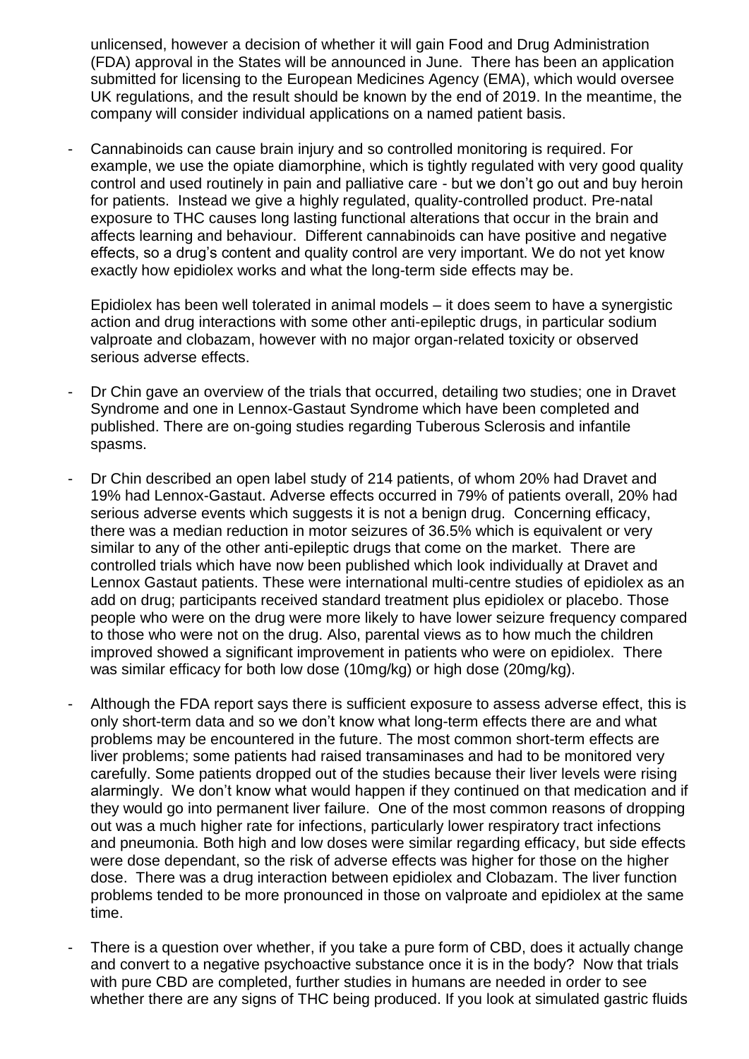unlicensed, however a decision of whether it will gain Food and Drug Administration (FDA) approval in the States will be announced in June. There has been an application submitted for licensing to the European Medicines Agency (EMA), which would oversee UK regulations, and the result should be known by the end of 2019. In the meantime, the company will consider individual applications on a named patient basis.

- Cannabinoids can cause brain injury and so controlled monitoring is required. For example, we use the opiate diamorphine, which is tightly regulated with very good quality control and used routinely in pain and palliative care - but we don't go out and buy heroin for patients. Instead we give a highly regulated, quality-controlled product. Pre-natal exposure to THC causes long lasting functional alterations that occur in the brain and affects learning and behaviour. Different cannabinoids can have positive and negative effects, so a drug's content and quality control are very important. We do not yet know exactly how epidiolex works and what the long-term side effects may be.

Epidiolex has been well tolerated in animal models – it does seem to have a synergistic action and drug interactions with some other anti-epileptic drugs, in particular sodium valproate and clobazam, however with no major organ-related toxicity or observed serious adverse effects.

- Dr Chin gave an overview of the trials that occurred, detailing two studies; one in Dravet Syndrome and one in Lennox-Gastaut Syndrome which have been completed and published. There are on-going studies regarding Tuberous Sclerosis and infantile spasms.
- Dr Chin described an open label study of 214 patients, of whom 20% had Dravet and 19% had Lennox-Gastaut. Adverse effects occurred in 79% of patients overall, 20% had serious adverse events which suggests it is not a benign drug. Concerning efficacy, there was a median reduction in motor seizures of 36.5% which is equivalent or very similar to any of the other anti-epileptic drugs that come on the market. There are controlled trials which have now been published which look individually at Dravet and Lennox Gastaut patients. These were international multi-centre studies of epidiolex as an add on drug; participants received standard treatment plus epidiolex or placebo. Those people who were on the drug were more likely to have lower seizure frequency compared to those who were not on the drug. Also, parental views as to how much the children improved showed a significant improvement in patients who were on epidiolex. There was similar efficacy for both low dose (10mg/kg) or high dose (20mg/kg).
- Although the FDA report says there is sufficient exposure to assess adverse effect, this is only short-term data and so we don't know what long-term effects there are and what problems may be encountered in the future. The most common short-term effects are liver problems; some patients had raised transaminases and had to be monitored very carefully. Some patients dropped out of the studies because their liver levels were rising alarmingly. We don't know what would happen if they continued on that medication and if they would go into permanent liver failure. One of the most common reasons of dropping out was a much higher rate for infections, particularly lower respiratory tract infections and pneumonia. Both high and low doses were similar regarding efficacy, but side effects were dose dependant, so the risk of adverse effects was higher for those on the higher dose. There was a drug interaction between epidiolex and Clobazam. The liver function problems tended to be more pronounced in those on valproate and epidiolex at the same time.
- There is a question over whether, if you take a pure form of CBD, does it actually change and convert to a negative psychoactive substance once it is in the body? Now that trials with pure CBD are completed, further studies in humans are needed in order to see whether there are any signs of THC being produced. If you look at simulated gastric fluids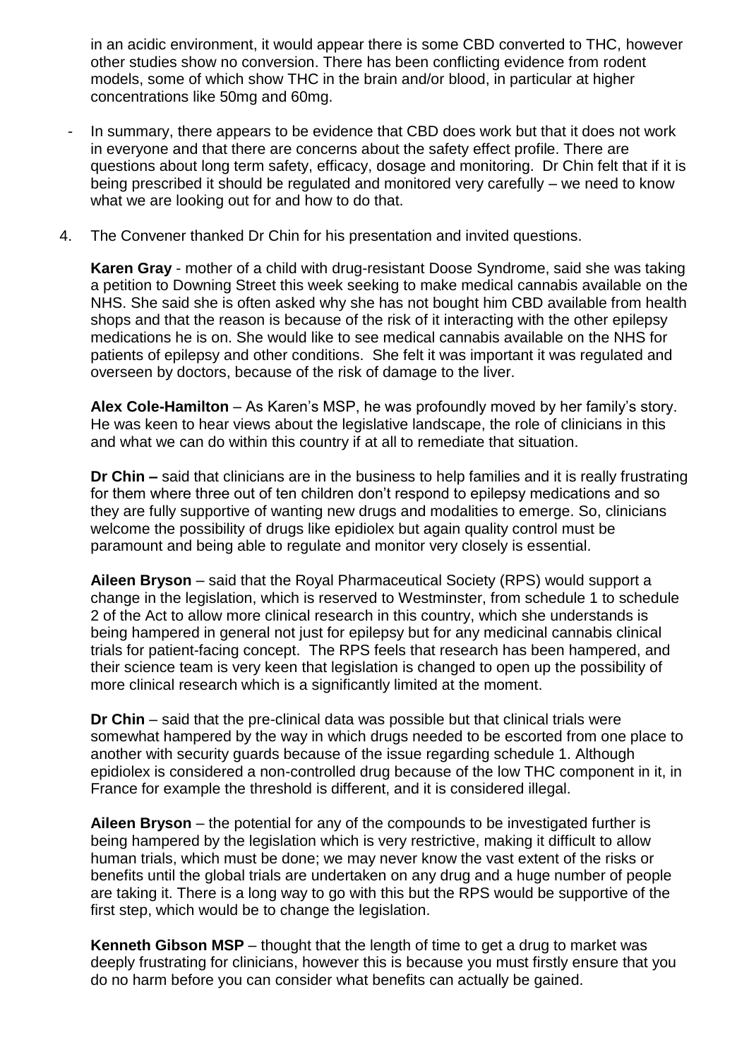in an acidic environment, it would appear there is some CBD converted to THC, however other studies show no conversion. There has been conflicting evidence from rodent models, some of which show THC in the brain and/or blood, in particular at higher concentrations like 50mg and 60mg.

- In summary, there appears to be evidence that CBD does work but that it does not work in everyone and that there are concerns about the safety effect profile. There are questions about long term safety, efficacy, dosage and monitoring. Dr Chin felt that if it is being prescribed it should be regulated and monitored very carefully – we need to know what we are looking out for and how to do that.
- 4. The Convener thanked Dr Chin for his presentation and invited questions.

**Karen Gray** - mother of a child with drug-resistant Doose Syndrome, said she was taking a petition to Downing Street this week seeking to make medical cannabis available on the NHS. She said she is often asked why she has not bought him CBD available from health shops and that the reason is because of the risk of it interacting with the other epilepsy medications he is on. She would like to see medical cannabis available on the NHS for patients of epilepsy and other conditions. She felt it was important it was regulated and overseen by doctors, because of the risk of damage to the liver.

**Alex Cole-Hamilton** – As Karen's MSP, he was profoundly moved by her family's story. He was keen to hear views about the legislative landscape, the role of clinicians in this and what we can do within this country if at all to remediate that situation.

**Dr Chin –** said that clinicians are in the business to help families and it is really frustrating for them where three out of ten children don't respond to epilepsy medications and so they are fully supportive of wanting new drugs and modalities to emerge. So, clinicians welcome the possibility of drugs like epidiolex but again quality control must be paramount and being able to regulate and monitor very closely is essential.

**Aileen Bryson** – said that the Royal Pharmaceutical Society (RPS) would support a change in the legislation, which is reserved to Westminster, from schedule 1 to schedule 2 of the Act to allow more clinical research in this country, which she understands is being hampered in general not just for epilepsy but for any medicinal cannabis clinical trials for patient-facing concept. The RPS feels that research has been hampered, and their science team is very keen that legislation is changed to open up the possibility of more clinical research which is a significantly limited at the moment.

**Dr Chin** – said that the pre-clinical data was possible but that clinical trials were somewhat hampered by the way in which drugs needed to be escorted from one place to another with security guards because of the issue regarding schedule 1. Although epidiolex is considered a non-controlled drug because of the low THC component in it, in France for example the threshold is different, and it is considered illegal.

**Aileen Bryson** – the potential for any of the compounds to be investigated further is being hampered by the legislation which is very restrictive, making it difficult to allow human trials, which must be done; we may never know the vast extent of the risks or benefits until the global trials are undertaken on any drug and a huge number of people are taking it. There is a long way to go with this but the RPS would be supportive of the first step, which would be to change the legislation.

**Kenneth Gibson MSP** – thought that the length of time to get a drug to market was deeply frustrating for clinicians, however this is because you must firstly ensure that you do no harm before you can consider what benefits can actually be gained.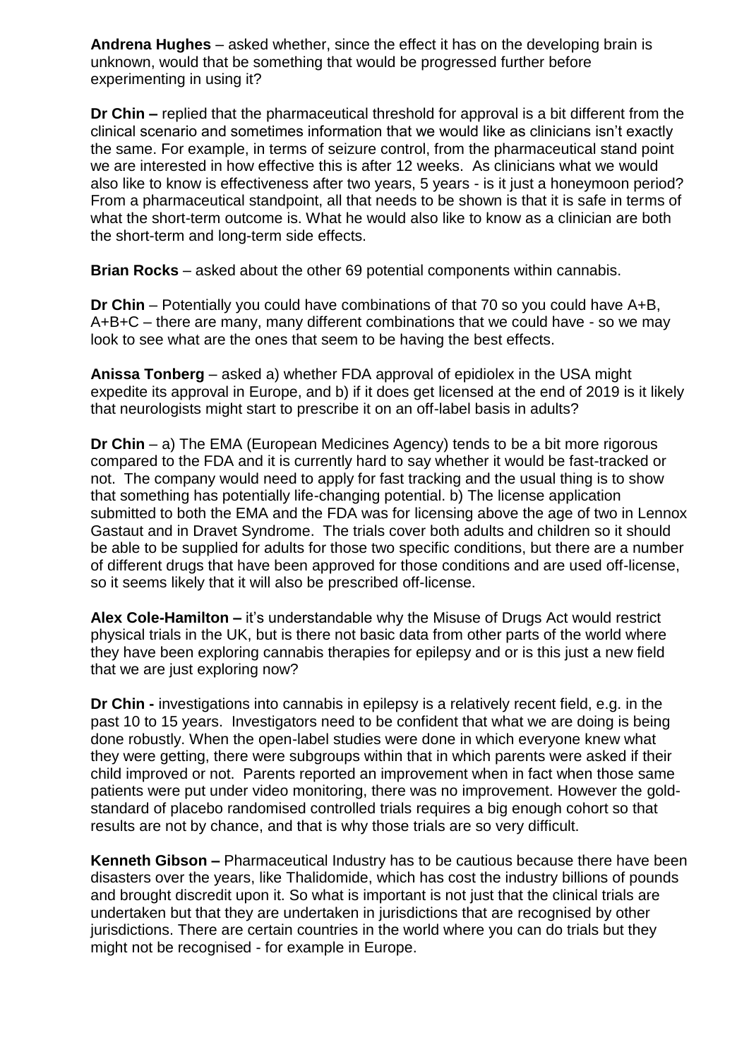**Andrena Hughes** – asked whether, since the effect it has on the developing brain is unknown, would that be something that would be progressed further before experimenting in using it?

**Dr Chin –** replied that the pharmaceutical threshold for approval is a bit different from the clinical scenario and sometimes information that we would like as clinicians isn't exactly the same. For example, in terms of seizure control, from the pharmaceutical stand point we are interested in how effective this is after 12 weeks. As clinicians what we would also like to know is effectiveness after two years, 5 years - is it just a honeymoon period? From a pharmaceutical standpoint, all that needs to be shown is that it is safe in terms of what the short-term outcome is. What he would also like to know as a clinician are both the short-term and long-term side effects.

**Brian Rocks** – asked about the other 69 potential components within cannabis.

**Dr Chin** – Potentially you could have combinations of that 70 so you could have A+B, A+B+C – there are many, many different combinations that we could have - so we may look to see what are the ones that seem to be having the best effects.

**Anissa Tonberg** – asked a) whether FDA approval of epidiolex in the USA might expedite its approval in Europe, and b) if it does get licensed at the end of 2019 is it likely that neurologists might start to prescribe it on an off-label basis in adults?

**Dr Chin** – a) The EMA (European Medicines Agency) tends to be a bit more rigorous compared to the FDA and it is currently hard to say whether it would be fast-tracked or not. The company would need to apply for fast tracking and the usual thing is to show that something has potentially life-changing potential. b) The license application submitted to both the EMA and the FDA was for licensing above the age of two in Lennox Gastaut and in Dravet Syndrome. The trials cover both adults and children so it should be able to be supplied for adults for those two specific conditions, but there are a number of different drugs that have been approved for those conditions and are used off-license, so it seems likely that it will also be prescribed off-license.

**Alex Cole-Hamilton –** it's understandable why the Misuse of Drugs Act would restrict physical trials in the UK, but is there not basic data from other parts of the world where they have been exploring cannabis therapies for epilepsy and or is this just a new field that we are just exploring now?

**Dr Chin -** investigations into cannabis in epilepsy is a relatively recent field, e.g. in the past 10 to 15 years. Investigators need to be confident that what we are doing is being done robustly. When the open-label studies were done in which everyone knew what they were getting, there were subgroups within that in which parents were asked if their child improved or not. Parents reported an improvement when in fact when those same patients were put under video monitoring, there was no improvement. However the goldstandard of placebo randomised controlled trials requires a big enough cohort so that results are not by chance, and that is why those trials are so very difficult.

**Kenneth Gibson –** Pharmaceutical Industry has to be cautious because there have been disasters over the years, like Thalidomide, which has cost the industry billions of pounds and brought discredit upon it. So what is important is not just that the clinical trials are undertaken but that they are undertaken in jurisdictions that are recognised by other jurisdictions. There are certain countries in the world where you can do trials but they might not be recognised - for example in Europe.